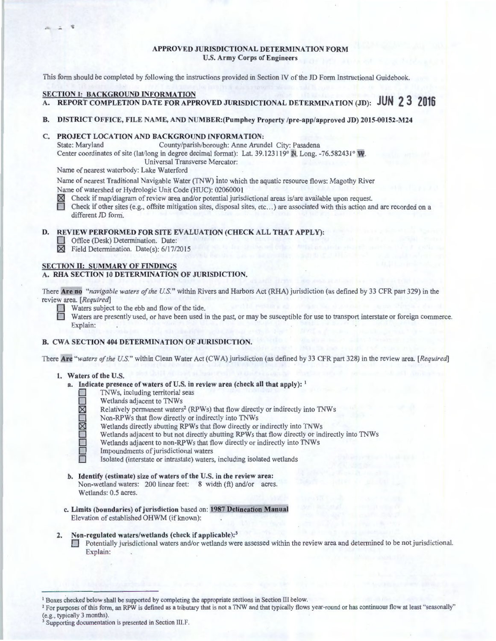#### **APPROVED JURISDICTIONAL DETERMINATION FORM U.S. Army Corps of Engineers**

This form should be completed by following the instructions provided in Section IV of the JD Form Instructional Guidebook.

## **SECTION I: BACKGROUND INFORMATION**

**A. REPORT COMPLETION DATE FOR APPROVED JURISDICTIONAL DETERMINATION (JD): JUN 2 3 2016** 

## **B. DISTRICT OFFICE, FILE NAME, AND NUMBER:(Pumphey Property /pre-app/approved JD) 2015-00152-M24**

# **C. PROJECT LOCATION AND BACKGROUND INFORMATION:**

County/parish/borough: Anne Arundel City: Pasadena Center coordinates of site (lat/long in degree decimal format): Lat. 39.123119° **N,** Long. -76.582431° Universal Transverse Mercator:

Name of nearest waterbody: Lake Waterford

Name of nearest Traditional Navigable Water (TNW) into which the aquatic resource flows: Magothy River Name of watershed or Hydrologic Unit Code (HUC): 02060001

**12.** Check if map/diagram of review area and/or potential jurisdictional areas is/are available upon request.<br> **1.** Check if other sites (e.g., offsite mitigation sites, disposal sites, etc...) are associated with this ac

Check if other sites (e.g., offsite mitigation sites, disposal sites, etc...) are associated with this action and are recorded on a different JD form.

## **D. REVIEW PERFORMED FOR SITE EVALUATION (CHECK ALL THAT APPLY):**

**0** Office (Desk) Determination. Date:

**[8]** Field Determination. Date(s): 6/17/2015

#### **SECTION U: SUMMARY OF FINDINGS A. RHA SECTION 10 DETERMINATION OF JURISDICTION.**

There **Are no** *"navigable waters of the U.S."* within Rivers and Harbors Act (RHA) jurisdiction (as defined by 33 CFR part 329) in the review area. *[Required]* 

Waters subject to the ebb and flow of the tide.<br>Waters are presently used, or have been used in the past, or may be susceptible for use to transport interstate or foreign commerce. Explain:

#### **B. CWA SECTION 404 DETERMINATION OF JURISDICTION.**

There **Are** *"waters of the U.S."* within Clean Water Act (CWA) jurisdiction (as defined by 33 CFR part 328) in the review area. *[Required]* 

#### **1. Waters of the U.S.**

- **a. Indicate presence of waters of U.S. in review area (check all that apply):** <sup>1</sup>
	- **0** TNWs, including territorial seas
	- **0** Wetlands adjacent to TNWs
	- Relatively permanent waters<sup>2</sup> (RPWs) that flow directly or indirectly into TNWs
	- **0** Non-RPWs that flow directly or indirectly into TNWs
	- Wetlands directly abutting RPWs that flow directly or indirectly into TNWs
	- Wetlands adjacent to but not directly abutting RPWs that flow directly or indirectly into TNWs
	- Wetlands adjacent to non-RPWs that flow directly or indirectly into TNWs
	- **0** Impoundments of jurisdictional waters
	- **0** Isolated (interstate or intrastate) waters, including isolated wetlands
- **b. Identify (estimate) size of waters of the U.S. in the review area:**  Non-wetland waters: 200 linear feet: 8 width (ft) and/or acres. Wetlands: 0.5 acres.
- **c. Limits (boundaries) of jurisdiction** based on: **1987 Delineation Manual**  Elevation of established OHWM (if known):

# **2. Non-regulated waters/wetlands (check if applicable): <sup>3</sup>**

**D** Potentially jurisdictional waters and/or wetlands were assessed within the review area and determined to be not jurisdictional. Explain:

<sup>&</sup>lt;sup>1</sup> Boxes checked below shall be supported by completing the appropriate sections in Section III below.<br><sup>2</sup> For purposes of this form, an RPW is defined as a tributary that is not a TNW and that typically flows year-round (e.g., typically 3 months).<br><sup>3</sup> Supporting documentation is presented in Section III.F.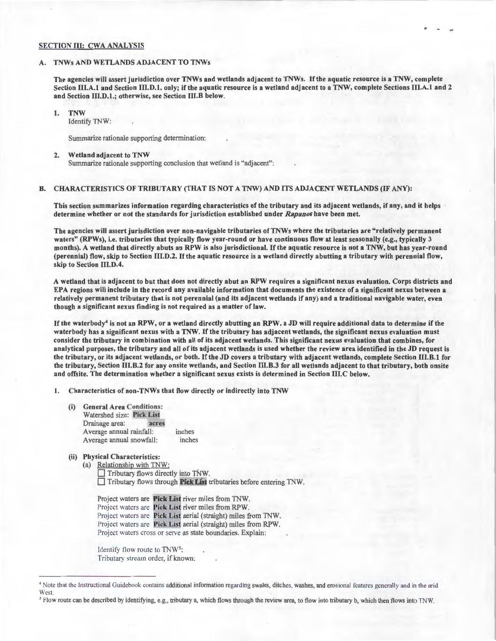## SECTION III: CWA ANALYSIS

#### A. TNWs AND WETLANDS ADJACENT TO TNWs

The agencies will assert jurisdiction over TNWs and wetlands adjacent to TNWs. If the aquatic resource is a TNW, complete Section III.A.I and Section 111.D.1. only; if the aquatic resource is a wetland adjacent to a TNW, complete Sections Ill.A.I and 2 and Section 111.D.1.; otherwise, see Section 111.B below.

1. TNW

Identify TNW:

Summarize rationale supporting determination:

#### 2. Wetland adjacent to TNW

Summarize rationale supporting conclusion that wetland is "adjacent" :

### B. CHARACTERISTICS OF TRIBUTARY (THAT IS NOT A TNW) AND ITS ADJACENT WETLANDS (IF ANY):

This section summarizes information regarding characteristics of the tributary and its adjacent wetlands, if any, and it helps determine whether or not the standards for jurisdiction established under *Rapanos* have been met.

The agencies will assert jurisdiction over non-navigable tributaries of TNWs where the tributaries are " relatively permanent waters" (RPWs), i.e. tributaries that typically flow year-round or have continuous flow at least seasonally (e.g., typically 3 months). A wetland that directly abuts an RPW is also jurisdictional. If the aquatic resource is not a TNW, but has year-round (perennial) flow, skip to Section 111.D.2. If the aquatic resource is a wetland directly abutting a tributary with perennial flow, skip to Section III.D.4.

A wetland that is adjacent to but that does not directly abut an RPW requires a significant nexus evaluation. Corps districts and EPA regions will include in the record any available information that documents the existence of a significant nexus between a relatively permanent tributary that is not perennial (and its adjacent wetlands if any) and a traditional navigable water, even though a significant nexus finding is not required as a matter of law.

If the waterbody<sup>4</sup> is not an RPW, or a wetland directly abutting an RPW, a JD will require additional data to determine if the waterbody has a significant nexus with a TNW. If the tributary has adjacent wetlands, the significant nexus evaluation must consider the tributary in combination with all of its adjacent wetlands. This significant nexus evaluation that combines, for analytical purposes, the tributary and all of its adjacent wetlands is used whether the review area identified in the JD request is the tributary, or its adjacent wetlands, or both. If the JD covers a tributary with adjacent wetlands, complete Section 111.B.1 for the tributary, Section 111.B.2 for any onsite wetlands, and Section 111.B.3 for all wetlands adjacent to that tributary, both onsite and offsite. The determination whether a significant nexus exists is determined in Section 111.C below.

l. Characteristics of non-TNWs that flow directly or indirectly into TNW

- (i) General Area Conditions: Watershed size: Pick List Drainage area: acres Average annual rainfall: inches Average annual snowfall: inches
- (ii) Physical Characteristics:

(a) Relationship with TNW: Tributary flows directly into TNW. D Tributary flows through Pick Lisf tributaries before entering TNW.

Project waters are Pick List river miles from TNW. Project waters are Pick List river miles from RPW. Project waters are Pick List aerial (straight) miles from TNW. Project waters are Pick List aerial (straight) miles from RPW. Project waters cross or serve as state boundaries. Explain:

Identify flow route to TNW<sup>5</sup>: Tributary stream order, if known:

<sup>&</sup>lt;sup>4</sup> Note that the Instructional Guidebook contains additional information regarding swales, ditches, washes, and erosiona features generally and in the arid **West**.

*<sup>5</sup>*Flow route can be described by identifying, e.g. , tributary a, which flows through the review area, to flow into tributary b, which then flows into TNW.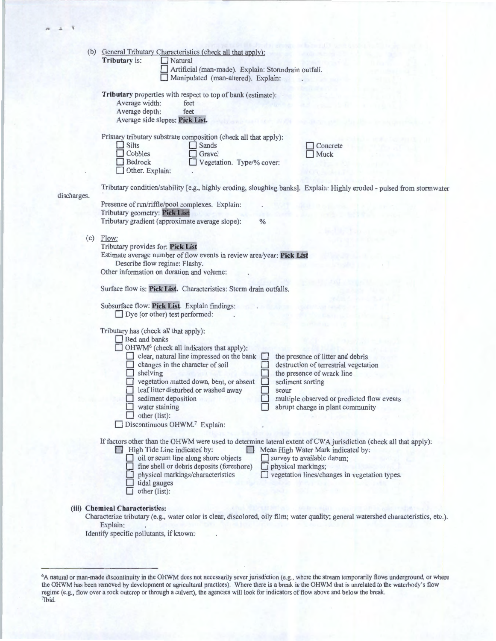| (b)         | General Tributary Characteristics (check all that apply):             |                                                                                                                                     |  |
|-------------|-----------------------------------------------------------------------|-------------------------------------------------------------------------------------------------------------------------------------|--|
|             | Tributary is:<br>Natural                                              |                                                                                                                                     |  |
|             | Artificial (man-made). Explain: Stormdrain outfall.                   |                                                                                                                                     |  |
|             | Manipulated (man-altered). Explain:                                   |                                                                                                                                     |  |
|             | Tributary properties with respect to top of bank (estimate):          |                                                                                                                                     |  |
|             | Average width:<br>feet                                                |                                                                                                                                     |  |
|             | Average depth:<br>feet                                                |                                                                                                                                     |  |
|             | Average side slopes: Pick List.                                       |                                                                                                                                     |  |
|             |                                                                       |                                                                                                                                     |  |
|             | Primary tributary substrate composition (check all that apply):       |                                                                                                                                     |  |
|             | Silts<br>Sands<br>Cobbles<br>Gravel                                   | Concrete<br>Muck                                                                                                                    |  |
|             | Bedrock<br>Vegetation. Type/% cover:                                  |                                                                                                                                     |  |
|             | Other. Explain:                                                       |                                                                                                                                     |  |
|             |                                                                       |                                                                                                                                     |  |
| discharges. |                                                                       | Tributary condition/stability [e.g., highly eroding, sloughing banks]. Explain: Highly eroded - pulsed from stormwater              |  |
|             | Presence of run/riffle/pool complexes. Explain:                       |                                                                                                                                     |  |
|             | Tributary geometry: Pick List                                         |                                                                                                                                     |  |
|             | Tributary gradient (approximate average slope):                       | $\frac{0}{0}$                                                                                                                       |  |
| (c)         |                                                                       |                                                                                                                                     |  |
|             | Flow:<br>Tributary provides for: Pick List                            |                                                                                                                                     |  |
|             | Estimate average number of flow events in review area/year: Pick List |                                                                                                                                     |  |
|             | Describe flow regime: Flashy.                                         |                                                                                                                                     |  |
|             | Other information on duration and volume:                             |                                                                                                                                     |  |
|             |                                                                       |                                                                                                                                     |  |
|             | Surface flow is: Pick List. Characteristics: Storm drain outfalls.    |                                                                                                                                     |  |
|             | Subsurface flow: Pick List. Explain findings:                         |                                                                                                                                     |  |
|             | $\Box$ Dye (or other) test performed:                                 |                                                                                                                                     |  |
|             |                                                                       |                                                                                                                                     |  |
|             | Tributary has (check all that apply):                                 |                                                                                                                                     |  |
|             | Bed and banks<br>OHWM <sup>6</sup> (check all indicators that apply): |                                                                                                                                     |  |
|             | $\Box$ clear, natural line impressed on the bank                      | the presence of litter and debris<br>$\Box$                                                                                         |  |
|             | changes in the character of soil                                      | destruction of terrestrial vegetation                                                                                               |  |
|             | shelving                                                              | the presence of wrack line                                                                                                          |  |
|             | vegetation matted down, bent, or absent                               | sediment sorting                                                                                                                    |  |
|             | leaf litter disturbed or washed away                                  | scour                                                                                                                               |  |
|             | sediment deposition                                                   | multiple observed or predicted flow events                                                                                          |  |
|             | water staining                                                        | abrupt change in plant community                                                                                                    |  |
|             | other (list):<br>Discontinuous OHWM. <sup>7</sup> Explain:            |                                                                                                                                     |  |
|             |                                                                       |                                                                                                                                     |  |
|             |                                                                       | If factors other than the OHWM were used to determine lateral extent of CWA jurisdiction (check all that apply):                    |  |
|             | High Tide Line indicated by:                                          | Mean High Water Mark indicated by:                                                                                                  |  |
|             | oil or scum line along shore objects                                  | survey to available datum;                                                                                                          |  |
|             | fine shell or debris deposits (foreshore)                             | physical markings;                                                                                                                  |  |
|             | physical markings/characteristics                                     | vegetation lines/changes in vegetation types.                                                                                       |  |
|             | tidal gauges<br>other (list):                                         |                                                                                                                                     |  |
|             |                                                                       |                                                                                                                                     |  |
|             | (iii) Chemical Characteristics:                                       |                                                                                                                                     |  |
|             |                                                                       | Characterize tributary (e.g., water color is clear, discolored, oily film; water quality; general watershed characteristics, etc.). |  |
|             | Explain:                                                              |                                                                                                                                     |  |
|             | Identify specific pollutants, if known:                               |                                                                                                                                     |  |

<sup>6</sup> A natural or man-made discontinuity in the OHWM does not necessarily sever jurisdiction (e.g., where the stream temporarily flows underground, or where the OHWM has been removed by development or agricultural practices). Where there is a break in the OHWM that is unrelated to the waterbody's flow regime (e.g., flow over a rock outcrop or through a culvert), the agencies will look for indicators of flow above and below the break. 'Ibid.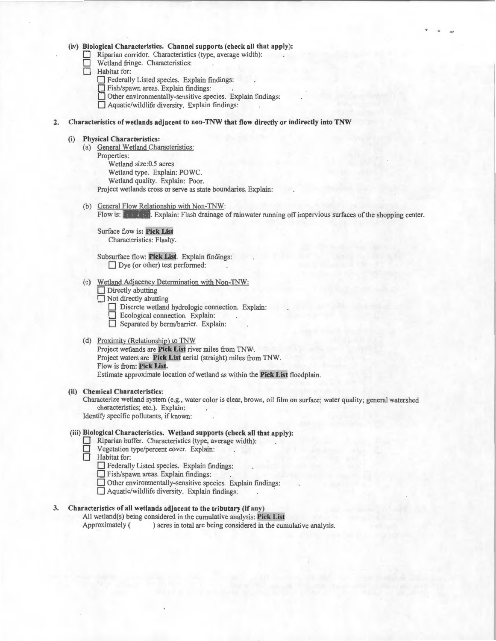#### (iv) Biological Characteristics. Channel supports (check all that apply):

Riparian corridor. Characteristics (type, average width):

- Wetland fringe. Characteristics:
- Habitat for:
	- D Federally Listed species. Explain findings:
	- D Fish/spawn areas. Explain findings:
	- $\Box$  Other environmentally-sensitive species. Explain findings:
	- $\Box$  Aquatic/wildlife diversity. Explain findings:

#### 2. Characteristics of wetlands adjacent to non-TNW that flow directly or indirectly into TNW

#### (i) Physical Characteristics:

(a) General Wetland Characteristics: Properties:

Wetland size:0.5 acres Wetland type. Explain: POWC.

Wetland quality. Explain: Poor.

Project wetlands cross or serve as state boundaries. Explain:

(b) General Flow Relationship with Non-TNW:

Flow is: Pick List, Explain: Flash drainage of rainwater running off impervious surfaces of the shopping center.

Surface flow is: Pick List Characteristics: Flashy.

Subsurface flow: Pick List. Explain findings:  $\Box$  Dye (or other) test performed:

- (c) Wetland Adjacency Determination with Non-TNW:
	- $\Box$  Directly abutting
	- $\Box$  Not directly abutting
		- Discrete wetland hydrologic connection. Explain:
		- D Ecological connection. Explain:
		- D Separated by berm/barrier. Explain:

#### (d) Proximity (Relationship) to TNW

Project wetlands are Pick List river miles from TNW·. Project waters are Pick List aerial (straight) miles from TNW. Flow is from: Pick List. Estimate approximate location of wetland as within the Pick List floodplain.

## (ii) Chemical Characteristics:

Characterize wetland system (e.g., water color is clear, brown, oil film on surface; water quality; general watershed characteristics; etc.). Explain:

Identify specific pollutants, if known:

## (iii) Biological Characteristics. Wetland supports (check all that apply):

- Riparian buffer. Characteristics (type, average width): ...
- $\Box$  Vegetation type/percent cover. Explain:<br> $\Box$  Habitat for:
	- Habitat for:
		- D Federally Listed species. Explain findings:
		- D Fish/spawn areas. Explain findings:
		- D Other environmentally-sensitive species. Explain findings:
		- $\Box$  Aquatic/wildlife diversity. Explain findings:

## 3. Characteristics of all wetlands adjacent to the tributary (if any)

All wetland(s) being considered in the cumulative analysis: Pick List<br>Approximately () acres in total are being considered in the cumulative ) acres in total are being considered in the cumulative analysis.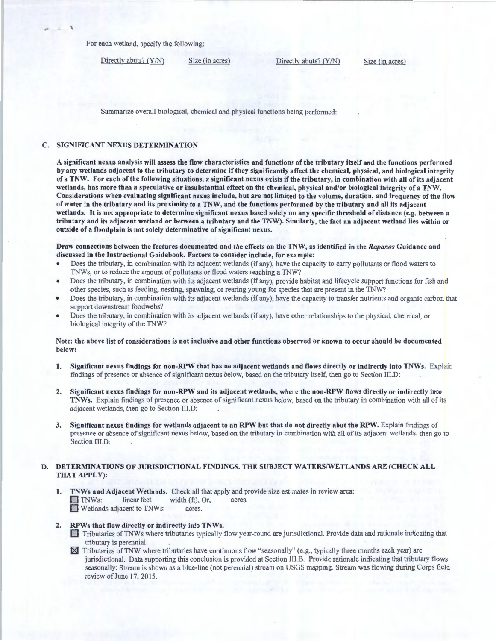For each wetland, specify the following:

Directly abuts? (Y/N) Size (in acres) Directly abuts? (Y/N) Size (in acres)

"

×

Summarize overall biological, chemical and physical functions being performed:

## C. SIGNIFICANT NEXUS DETERMINATION

A significant nexus analysis will assess the flow characteristics and functions of the tributary itself and the function s performed by any wetlands adjacent to the tributary to determine if they significantly affect the chemical, physical, and biological integrity ofa TNW. For each of the following situations, a significant nexus exists ifthe tributary, in combination with all of its adjacent wetlands, has more than a speculative or insubstantial effect on the chemical, physical and/or biological integrity of a TNW. Considerations when evaluating significant nexus include, but are not limited to the volume, duration, and frequency of the flow of water in the tributary and its proximity to a TNW, and the functions performed by the tributary and all its adjacent wetlands. It is not appropriate to determine significant nexus based solely on any specific threshold of distance (e.g. between a tributary and its adjacent wetland or between a tributary and the TNW). Similarly, the fact an adjacent wetland lies within or outside of a floodplain is not solely determinative of significant nexus.

Draw connections between the features documented and the effects on the TNW, as identified in the *Rapanos* Guidance and discussed in the Instructional Guidebook. Factors to consider include, for example:

- Does the tributary, in combination with its adjacent wetlands (if any), have the capacity to carry pollutants or flood waters to TNWs, or to reduce the amount of pollutants or flood waters reaching a TNW?
- Does the tributary, in combination with its adjacent wetlands (if any), provide habitat and lifecycle support functions for fish and other species, such as feeding, nesting, spawning, or rearing young for species that are present in the TNW?
- Does the tributary, in combination with its adjacent wetlands (if any), have the capacity to transfer nutrients and organic carbon that support downstream foodwebs?
- Does the tributary, in combination with its adjacent wetlands (if any), have other relationships to the physical, chemical, or biological integrity of the TNW?

## Note: the above list of considerations is not inclusive and other functions observed or known to occur should be documented below:

- 1. Significant nexus findings for non-RPW that has no adjacent wetlands and flows directly or indirectly into TNWs. Explain findings of presence or absence of significant nexus below, based on the tributary itself, then go to Section I!I.D:
- 2. Significant nexus findings for non-RPW and its adjacent wetlands, where the non-RPW flows directly or indirectly into TNWs. Explain findings of presence or absence of significant nexus below, based on the tributary in combination with all of its adjacent wetlands, then go to Section III.D:
- 3. Significant nexus findings for wetlands adjacent to an RPW but that do not directly abut the RPW. Explain findings of presence or absence of significant nexus below, based on the tributary in combination with all of its adjacent wetlands, then go to Section III.D:

#### D. DETERMINATIONS OF JURISDICTIONAL FINDINGS. THE SUBJECT WATERS/WETLANDS ARE (CHECK ALL THAT APPLY):

- 1. TNWs and Adjacent Wetlands. Check all that apply and provide size estimates in review area: TNWs: linear feet width (ft), Or, acres.<br>
Wetlands adjacent to TNWs: acres.
- 2. RPWs that flow directly or indirectly into TNWs.
	- 0 Tributaries ofTNWs where tributaries typically flow year-round are jurisdictional. Provide data and rationale indicating that tributary is perennial:
	- $\boxtimes$  Tributaries of TNW where tributaries have continuous flow "seasonally" (e.g., typically three months each year) are jurisdictional. Data supporting this conclusion is provided at Section III.B. Provide rationale indicating that tributary flows seasonally: Stream is shown as a blue-line (not perennial) stream on USGS mapping. Stream was flowing during Corps field review of June 17, 2015.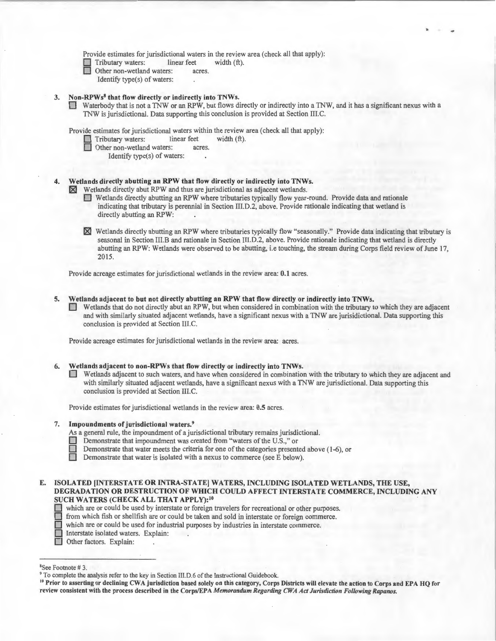Provide estimates for jurisdictional waters in the review area (check all that apply):<br>
Tributary waters: linear feet width  $(ft)$ .

- Tributary waters: linear feet<br>
Other non-wetland waters: acres.
	- Other non-wetland waters:
		- Identify type(s) of waters:

## 3. Non-RPWs<sup>8</sup> that flow directly or indirectly into TNWs.

Waterbody that is not a TNW or an RPW, but flows directly or indirectly into a TNW, and it has a significant nexus with a TNW is jurisdictional. Data supporting this conclusion is provided at Section III.C.

Provide estimates for jurisdictional waters within the review area (check all that apply):

- Tributary waters: linear feet width (ft).
- Other non-wetland waters: acres.
	- Identify type(s) of waters:

## Wetlands directly abutting an RPW that flow directly or indirectly into TNWs.

 $[8]$  Wetlands directly abut RPW and thus are jurisdictional as adjacent wetlands.

- 0 Wetlands directly abutting an RPW where tributaries typically flow year-round. Provide data and rationale indicating that tributary is perennial in Section III.D.2, above. Provide rationale indicating that wetland is directly abutting an RPW:
- [81 Wetlands directly abutting an RPW where tributaries typically flow "seasonally." Provide data indicating that tributary is seasonal in Section lII.B and rationale in Section III.D.2, above. Provide rationale indicating that wetland is directly abutting an RPW: Wetlands were observed to be abutting, i.e touching, the stream during Corps field review of June 17, 2015.

Provide acreage estimates for jurisdictional wetlands in the review area: 0.1 acres.

- 5. Wetlands adjacent to but not directly abutting an RPW that flow directly or indirectly into TNWs.
	- 0 Wetlands that do not directly abut an RPW, but when considered in combination with the tributary to which they are adjacent and with similarly situated adjacent wetlands, have a significant nexus with a TNW are jurisidictional. Data supporting this conclusion is provided at Section III.C.

Provide acreage estimates for jurisdictional wetlands in the review area: acres.

## 6. Wetlands adjacent to non-RPWs that flow directly or indirectly into TNWs.

Wetlands adjacent to such waters, and have when considered in combination with the tributary to which they are adjacent and with similarly situated adjacent wetlands, have a significant nexus with a TNW are jurisdictional. Data supporting this conclusion is provided at Section III.C.

Provide estimates for jurisdictional wetlands in the review area: 0.5 acres.

#### 7. Impoundments of jurisdictional waters.<sup>9</sup>

As a general rule, the impoundment of a jurisdictional tributary remains jurisdictional.

- Demonstrate that impoundment was created from "waters of the U.S.," or
- Demonstrate that water meets the criteria for one of the categories presented above (1-6), or

Demonstrate that water is isolated with a nexus to commerce (see E below).

E. ISOLATED [INTERSTATE OR INTRA-STATE] WATERS, INCLUDING ISOLATED WETLANDS, THE USE, DEGRADATION OR DESTRUCTION OF WHICH COULD AFFECT INTERSTATE COMMERCE, INCLUDING ANY SUCH WATERS (CHECK ALL THAT APPLY):<sup>10</sup><br>which are or could be used by interstate or foreign t<br>from which fish or shellfish are or could be taken as

which are or could be used by interstate or foreign travelers for recreational or other purposes.

- □ from which fish or shellfish are or could be taken and sold in interstate or foreign commerce. which are or could be used for industrial purposes by industries in interstate commerce. which are or could be used for industrial purposes by industries in interstate commerce.<br>Interstate isolated waters. Explain:
- Interstate isolated waters. Explain:
- Other factors. Explain:

<sup>&</sup>lt;sup>8</sup>See Footnote #3.

<sup>&</sup>lt;sup>9</sup> To complete the analysis refer to the key in Section III.D.6 of the Instructional Guidebook.

<sup>&</sup>lt;sup>10</sup> Prior to asserting or declining CWA jurisdiction based solely on this category, Corps Districts will elevate the action to Corps and EPA HQ for review consistent with the process described in the Corps/EPA *Memorandum Regarding CWA Act Jurisdiction Following Rapanos.*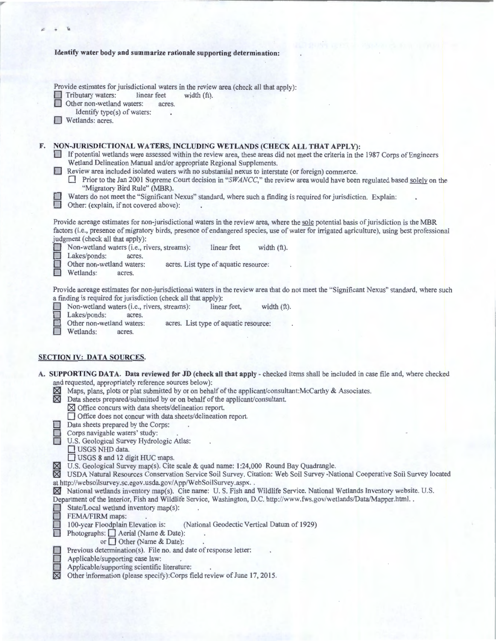|    | Identify water body and summarize rationale supporting determination:                                                                                                                                                                                                                                                                                                                                                                                                                                                                                                                                                                                                                                                                                                                                     |
|----|-----------------------------------------------------------------------------------------------------------------------------------------------------------------------------------------------------------------------------------------------------------------------------------------------------------------------------------------------------------------------------------------------------------------------------------------------------------------------------------------------------------------------------------------------------------------------------------------------------------------------------------------------------------------------------------------------------------------------------------------------------------------------------------------------------------|
|    | Provide estimates for jurisdictional waters in the review area (check all that apply):<br>Tributary waters:<br>linear feet<br>width $(ft)$ .<br>Other non-wetland waters:<br>acres.<br>Identify type(s) of waters:<br>Wetlands: acres.                                                                                                                                                                                                                                                                                                                                                                                                                                                                                                                                                                    |
| F. | NON-JURISDICTIONAL WATERS, INCLUDING WETLANDS (CHECK ALL THAT APPLY):<br>If potential wetlands were assessed within the review area, these areas did not meet the criteria in the 1987 Corps of Engineers<br>200<br>Wetland Delineation Manual and/or appropriate Regional Supplements.<br>Review area included isolated waters with no substantial nexus to interstate (or foreign) commerce.<br>Prior to the Jan 2001 Supreme Court decision in "SWANCC," the review area would have been regulated based solely on the<br>"Migratory Bird Rule" (MBR).<br>Waters do not meet the "Significant Nexus" standard, where such a finding is required for jurisdiction. Explain:<br>Other: (explain, if not covered above):                                                                                  |
|    | Provide acreage estimates for non-jurisdictional waters in the review area, where the sole potential basis of jurisdiction is the MBR<br>factors (i.e., presence of migratory birds, presence of endangered species, use of water for irrigated agriculture), using best professional<br>judgment (check all that apply):<br>Non-wetland waters (i.e., rivers, streams):<br>linear feet<br>width (ft).<br>Lakes/ponds:<br>acres.<br>Other non-wetland waters:<br>acres. List type of aquatic resource:<br>Wetlands:<br>acres.                                                                                                                                                                                                                                                                             |
|    | Provide acreage estimates for non-jurisdictional waters in the review area that do not meet the "Significant Nexus" standard, where such<br>a finding is required for jurisdiction (check all that apply):<br>Non-wetland waters (i.e., rivers, streams):<br>linear feet.<br>width $(ft)$ .<br>Lakes/ponds:<br>acres.<br>Other non-wetland waters:<br>acres. List type of aquatic resource:<br>Wetlands:<br>acres.                                                                                                                                                                                                                                                                                                                                                                                        |
|    | <b>SECTION IV: DATA SOURCES.</b>                                                                                                                                                                                                                                                                                                                                                                                                                                                                                                                                                                                                                                                                                                                                                                          |
|    | A. SUPPORTING DATA. Data reviewed for JD (check all that apply - checked items shall be included in case file and, where checked<br>and requested, appropriately reference sources below):<br>Maps, plans, plots or plat submitted by or on behalf of the applicant/consultant:McCarthy & Associates.<br>$\boxtimes$<br>Data sheets prepared/submitted by or on behalf of the applicant/consultant.<br>M<br>$\boxtimes$ Office concurs with data sheets/delineation report.<br>□ Office does not concur with data sheets/delineation report.<br>Data sheets prepared by the Corps:<br>Corps navigable waters' study:<br>U.S. Geological Survey Hydrologic Atlas:<br>USGS NHD data.<br>USGS 8 and 12 digit HUC maps.                                                                                       |
|    | U.S. Geological Survey map(s). Cite scale & quad name: 1:24,000 Round Bay Quadrangle.<br>$\boxtimes$<br>USDA Natural Resources Conservation Service Soil Survey. Citation: Web Soil Survey -National Cooperative Soil Survey located<br>$\bowtie$<br>at http://websoilsurvey.sc.egov.usda.gov/App/WebSoilSurvey.aspx<br>X National wetlands inventory map(s). Cite name: U.S. Fish and Wildlife Service. National Wetlands Inventory website. U.S.<br>Department of the Interior, Fish and Wildlife Service, Washington, D.C. http://www.fws.gov/wetlands/Data/Mapper.html<br>State/Local wetland inventory map(s):<br>FEMA/FIRM maps:<br>100-year Floodplain Elevation is:<br>(National Geodectic Vertical Datum of 1929)<br>Photographs: $\Box$ Aerial (Name & Date):<br>or $\Box$ Other (Name & Date): |
|    | Previous determination(s). File no. and date of response letter:<br>Applicable/supporting case law:<br>Applicable/supporting scientific literature:<br>⊠<br>Other information (please specify):Corps field review of June 17, 2015.                                                                                                                                                                                                                                                                                                                                                                                                                                                                                                                                                                       |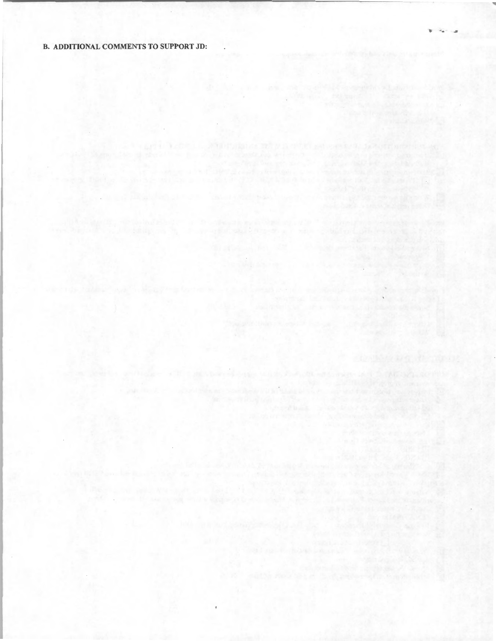## B. ADDITIONAL COMMENTS TO SUPPORT JD:

,

centary research and interface control applications of the automobile 

a misse of the movement come support with a conservation of the movements